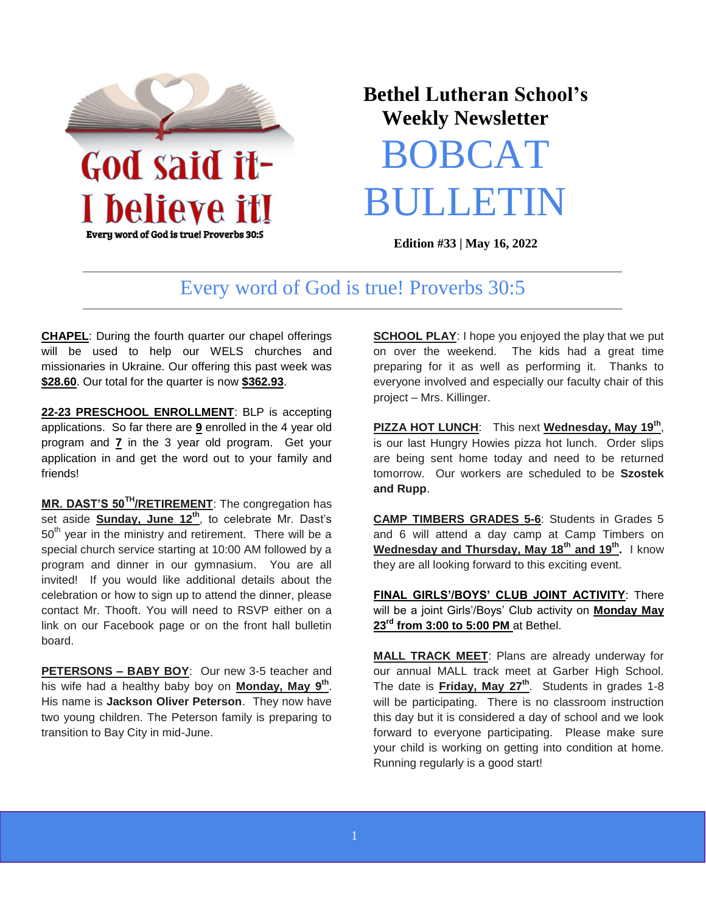

Every word of God is true! Proverbs 30:5

## **Bethel Lutheran School's Weekly Newsletter**

# BOBCAT **BULLETI**

**Edition #33 | May 16, 2022** 

### Every word of God is true! Proverbs 30:5

**CHAPEL**: During the fourth quarter our chapel offerings will be used to help our WELS churches and missionaries in Ukraine. Our offering this past week was **\$28.60**. Our total for the quarter is now **\$362.93**.

**22-23 PRESCHOOL ENROLLMENT**: BLP is accepting applications. So far there are **9** enrolled in the 4 year old program and **7** in the 3 year old program. Get your application in and get the word out to your family and friends!

**MR. DAST'S 50TH/RETIREMENT**: The congregation has set aside **Sunday, June 12th**, to celebrate Mr. Dast's  $50<sup>th</sup>$  year in the ministry and retirement. There will be a special church service starting at 10:00 AM followed by a program and dinner in our gymnasium. You are all invited! If you would like additional details about the celebration or how to sign up to attend the dinner, please contact Mr. Thooft. You will need to RSVP either on a link on our Facebook page or on the front hall bulletin board.

**PETERSONS – BABY BOY**: Our new 3-5 teacher and his wife had a healthy baby boy on **Monday, May 9th** . His name is **Jackson Oliver Peterson**. They now have two young children. The Peterson family is preparing to transition to Bay City in mid-June.

**SCHOOL PLAY:** I hope you enjoyed the play that we put on over the weekend. The kids had a great time preparing for it as well as performing it. Thanks to everyone involved and especially our faculty chair of this project – Mrs. Killinger.

**PIZZA HOT LUNCH**: This next **Wednesday, May 19th** , is our last Hungry Howies pizza hot lunch. Order slips are being sent home today and need to be returned tomorrow. Our workers are scheduled to be **Szostek and Rupp**.

**CAMP TIMBERS GRADES 5-6**: Students in Grades 5 and 6 will attend a day camp at Camp Timbers on **Wednesday and Thursday, May 18th and 19th .** I know they are all looking forward to this exciting event.

**FINAL GIRLS'/BOYS' CLUB JOINT ACTIVITY**: There will be a joint Girls'/Boys' Club activity on **Monday May 23rd from 3:00 to 5:00 PM** at Bethel.

**MALL TRACK MEET**: Plans are already underway for our annual MALL track meet at Garber High School. The date is **Friday, May 27th**. Students in grades 1-8 will be participating. There is no classroom instruction this day but it is considered a day of school and we look forward to everyone participating. Please make sure your child is working on getting into condition at home. Running regularly is a good start!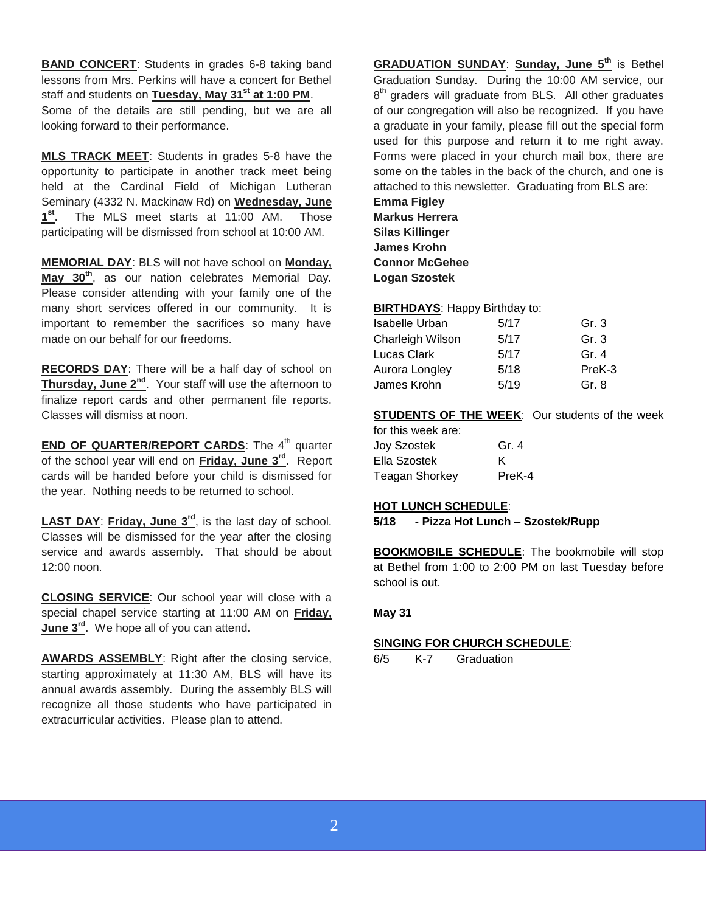**BAND CONCERT**: Students in grades 6-8 taking band lessons from Mrs. Perkins will have a concert for Bethel staff and students on **Tuesday, May 31st at 1:00 PM**. Some of the details are still pending, but we are all looking forward to their performance.

**MLS TRACK MEET**: Students in grades 5-8 have the opportunity to participate in another track meet being held at the Cardinal Field of Michigan Lutheran Seminary (4332 N. Mackinaw Rd) on **Wednesday, June**   $1^{\text{st}}$ . The MLS meet starts at 11:00 AM. Those participating will be dismissed from school at 10:00 AM.

**MEMORIAL DAY**: BLS will not have school on **Monday, May 30th**, as our nation celebrates Memorial Day. Please consider attending with your family one of the many short services offered in our community. It is important to remember the sacrifices so many have made on our behalf for our freedoms.

**RECORDS DAY**: There will be a half day of school on **Thursday, June 2nd**. Your staff will use the afternoon to finalize report cards and other permanent file reports. Classes will dismiss at noon.

**END OF QUARTER/REPORT CARDS:** The 4<sup>th</sup> quarter of the school year will end on **Friday, June 3rd**. Report cards will be handed before your child is dismissed for the year. Nothing needs to be returned to school.

**LAST DAY**: **Friday, June 3rd**, is the last day of school. Classes will be dismissed for the year after the closing service and awards assembly. That should be about 12:00 noon.

**CLOSING SERVICE**: Our school year will close with a special chapel service starting at 11:00 AM on **Friday, June 3rd**. We hope all of you can attend.

**AWARDS ASSEMBLY**: Right after the closing service, starting approximately at 11:30 AM, BLS will have its annual awards assembly. During the assembly BLS will recognize all those students who have participated in extracurricular activities. Please plan to attend.

**GRADUATION SUNDAY**: **Sunday, June 5th** is Bethel Graduation Sunday. During the 10:00 AM service, our 8<sup>th</sup> graders will graduate from BLS. All other graduates of our congregation will also be recognized. If you have a graduate in your family, please fill out the special form used for this purpose and return it to me right away. Forms were placed in your church mail box, there are some on the tables in the back of the church, and one is attached to this newsletter. Graduating from BLS are:

**Emma Figley Markus Herrera Silas Killinger James Krohn Connor McGehee Logan Szostek**

#### **BIRTHDAYS**: Happy Birthday to:

| Isabelle Urban   | 5/17 | Gr. 3   |
|------------------|------|---------|
| Charleigh Wilson | 5/17 | Gr. $3$ |
| Lucas Clark      | 5/17 | Gr. $4$ |
| Aurora Longley   | 5/18 | PreK-3  |
| James Krohn      | 5/19 | Gr. 8   |

#### **STUDENTS OF THE WEEK:** Our students of the week

| for this week are: |        |
|--------------------|--------|
| Jov Szostek        | Gr. 4  |
| Ella Szostek       | ĸ      |
| Teagan Shorkey     | PreK-4 |

#### **HOT LUNCH SCHEDULE**:

#### **5/18 - Pizza Hot Lunch – Szostek/Rupp**

**BOOKMOBILE SCHEDULE**: The bookmobile will stop at Bethel from 1:00 to 2:00 PM on last Tuesday before school is out.

#### **May 31**

#### **SINGING FOR CHURCH SCHEDULE**:

6/5 K-7 Graduation